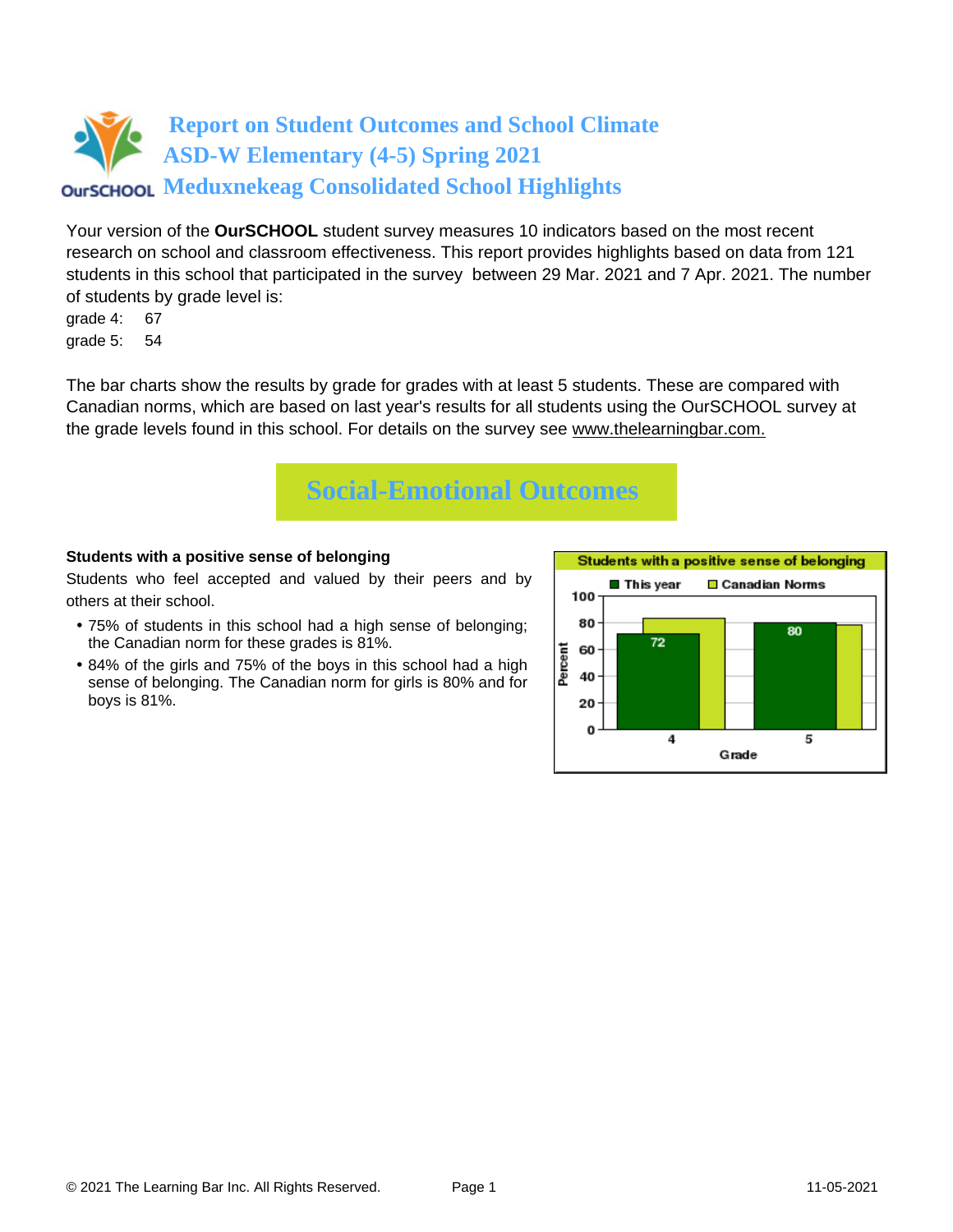# **Report on Student Outcomes and School Climate ASD-W Elementary (4-5) Spring 2021 OUTSCHOOL Meduxnekeag Consolidated School Highlights**

Your version of the **OurSCHOOL** student survey measures 10 indicators based on the most recent research on school and classroom effectiveness. This report provides highlights based on data from 121 students in this school that participated in the survey between 29 Mar. 2021 and 7 Apr. 2021. The number of students by grade level is:

grade 4: 67 grade 5: 54

The bar charts show the results by grade for grades with at least 5 students. These are compared with Canadian norms, which are based on last year's results for all students using the OurSCHOOL survey at the grade levels found in this school. For details on the survey see [www.thelearningbar.com.](www.thelearningbar.com)



### **Students with a positive sense of belonging**

Students who feel accepted and valued by their peers and by others at their school.

- 75% of students in this school had a high sense of belonging; the Canadian norm for these grades is 81%.
- 84% of the girls and 75% of the boys in this school had a high sense of belonging. The Canadian norm for girls is 80% and for boys is 81%.

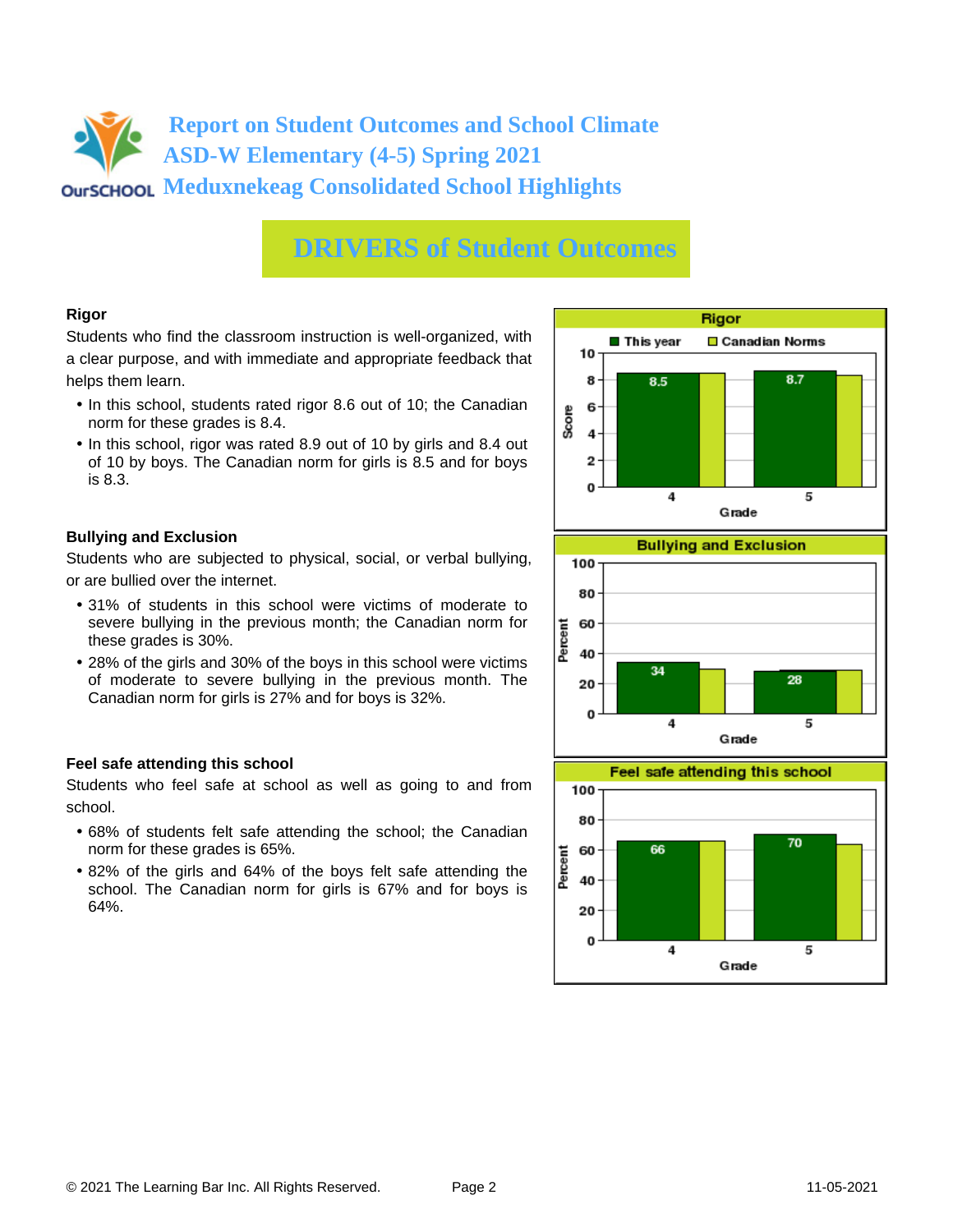## **Report on Student Outcomes and School Climate ASD-W Elementary (4-5) Spring 2021 OUTSCHOOL Meduxnekeag Consolidated School Highlights**

# **DRIVERS of Student Outcomes**

### **Rigor**

Students who find the classroom instruction is well-organized, with a clear purpose, and with immediate and appropriate feedback that helps them learn.

- In this school, students rated rigor 8.6 out of 10; the Canadian norm for these grades is 8.4.
- In this school, rigor was rated 8.9 out of 10 by girls and 8.4 out of 10 by boys. The Canadian norm for girls is 8.5 and for boys is 8.3.

### **Bullying and Exclusion**

Students who are subjected to physical, social, or verbal bullying, or are bullied over the internet.

- 31% of students in this school were victims of moderate to severe bullying in the previous month; the Canadian norm for these grades is 30%.
- 28% of the girls and 30% of the boys in this school were victims of moderate to severe bullying in the previous month. The Canadian norm for girls is 27% and for boys is 32%.

### **Feel safe attending this school**

Students who feel safe at school as well as going to and from school.

- 68% of students felt safe attending the school; the Canadian norm for these grades is 65%.
- 82% of the girls and 64% of the boys felt safe attending the school. The Canadian norm for girls is 67% and for boys is 64%.





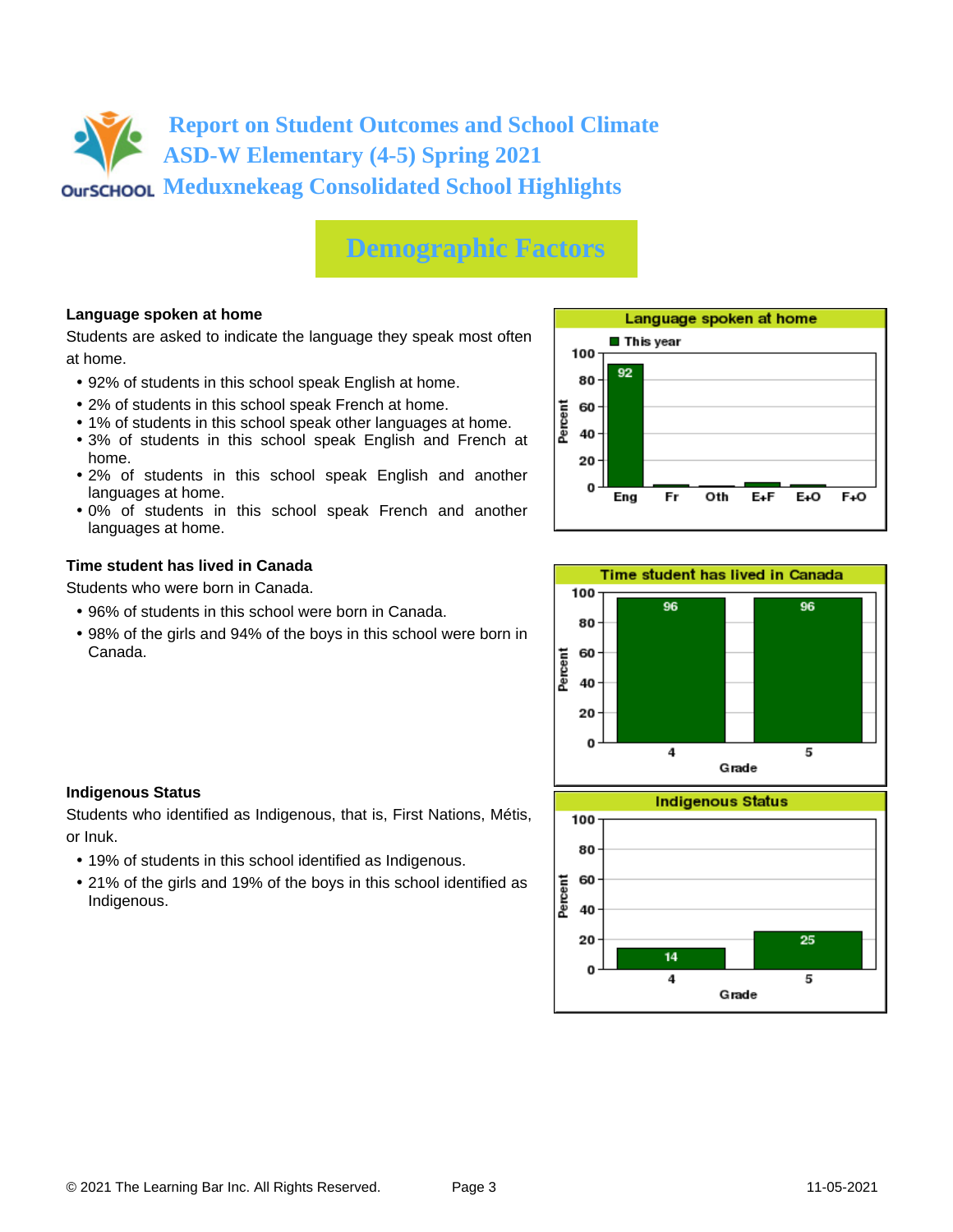# **Report on Student Outcomes and School Climate ASD-W Elementary (4-5) Spring 2021 OUTSCHOOL Meduxnekeag Consolidated School Highlights**

# **Demographic Factors**

### **Language spoken at home**

Students are asked to indicate the language they speak most often at home.

- 92% of students in this school speak English at home.
- 2% of students in this school speak French at home.
- 1% of students in this school speak other languages at home.
- 3% of students in this school speak English and French at home.
- 2% of students in this school speak English and another languages at home.
- 0% of students in this school speak French and another languages at home.

#### **Time student has lived in Canada**

Students who were born in Canada.

- 96% of students in this school were born in Canada.
- 98% of the girls and 94% of the boys in this school were born in Canada.





#### **Indigenous Status**

Students who identified as Indigenous, that is, First Nations, Métis, or Inuk.

- 19% of students in this school identified as Indigenous.
- 21% of the girls and 19% of the boys in this school identified as Indigenous.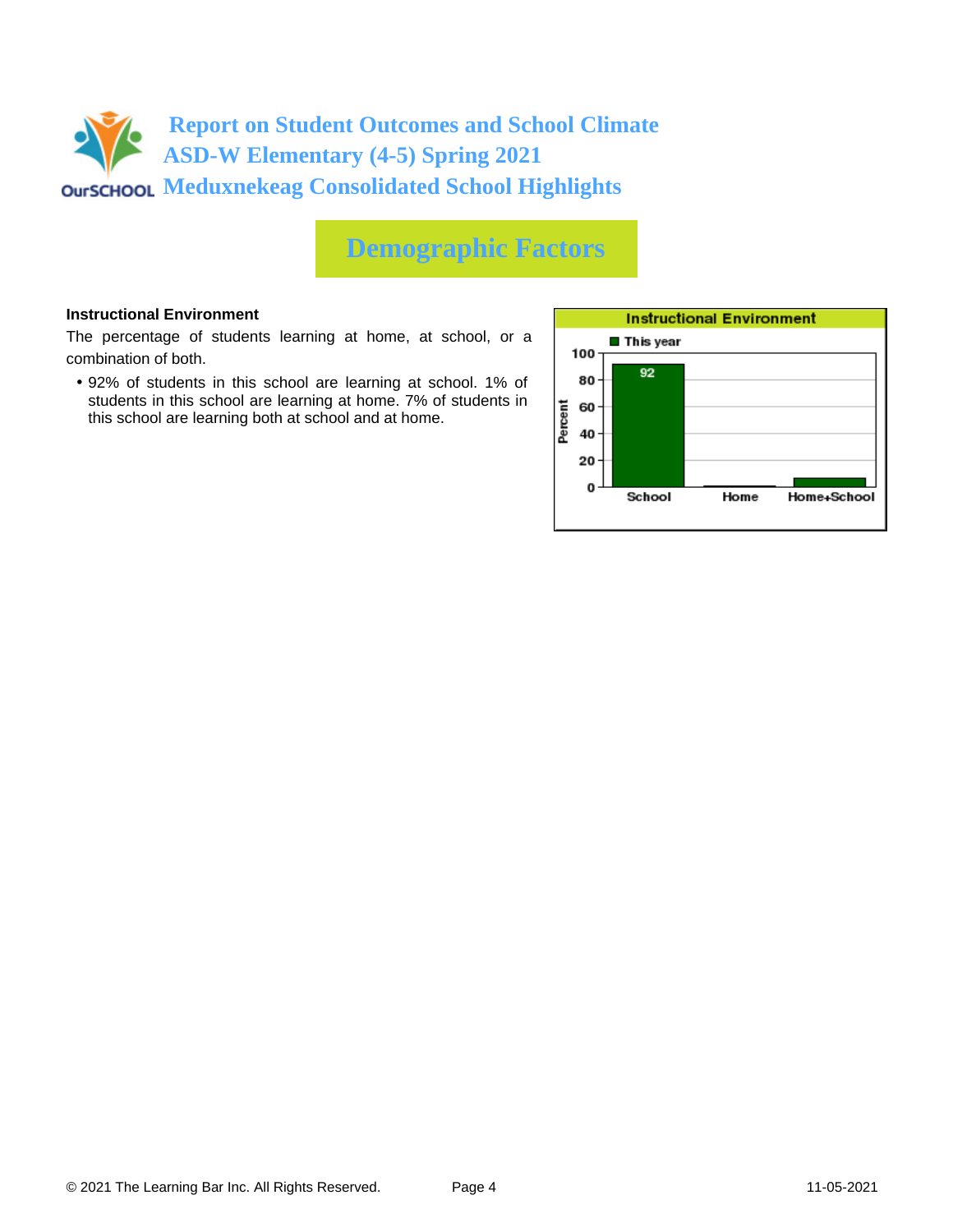

### **Demographic Factors**

#### **Instructional Environment**

The percentage of students learning at home, at school, or a combination of both.

• 92% of students in this school are learning at school. 1% of students in this school are learning at home. 7% of students in this school are learning both at school and at home.

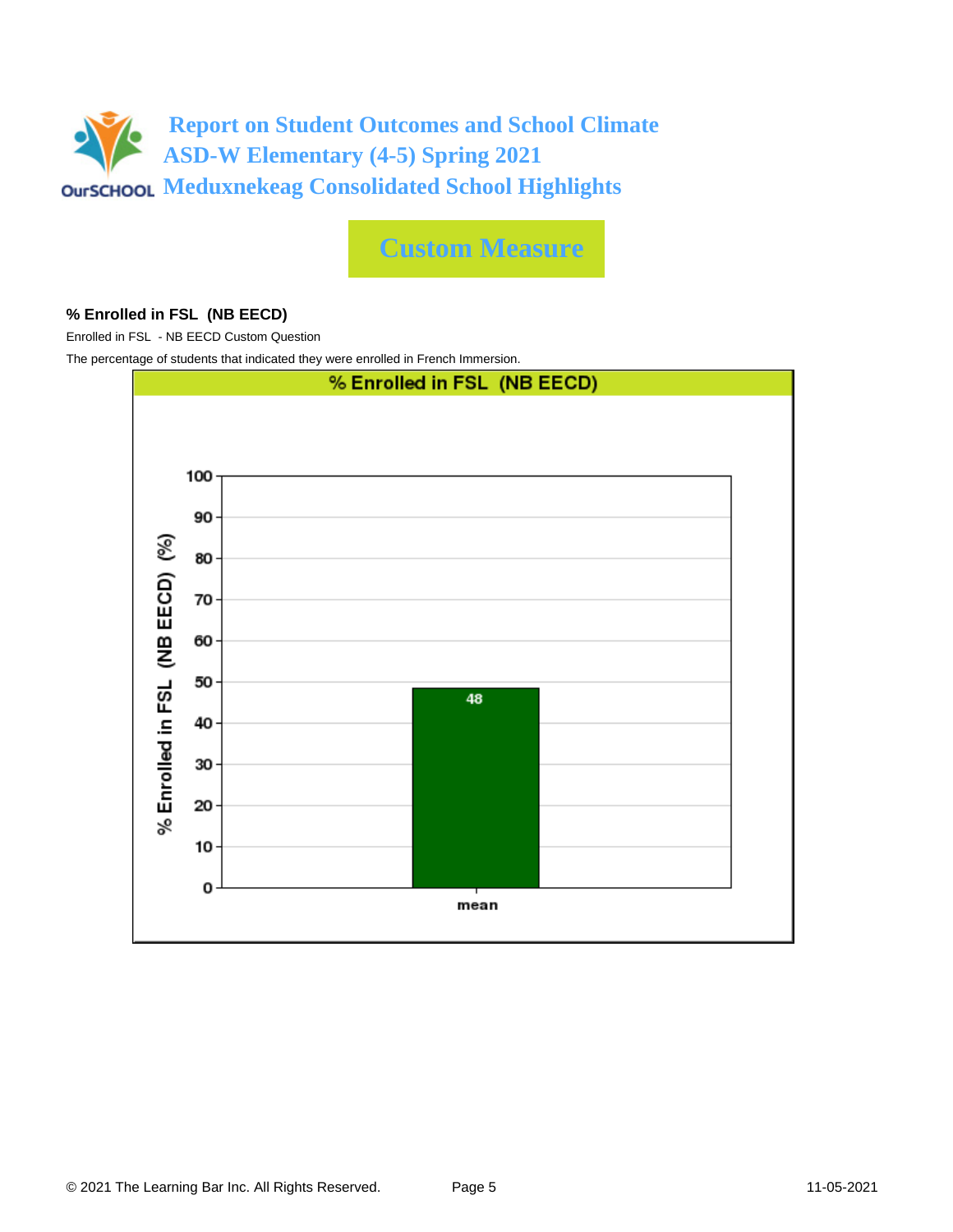

**Custom Measure**

### **% Enrolled in FSL (NB EECD)**

Enrolled in FSL - NB EECD Custom Question

The percentage of students that indicated they were enrolled in French Immersion.

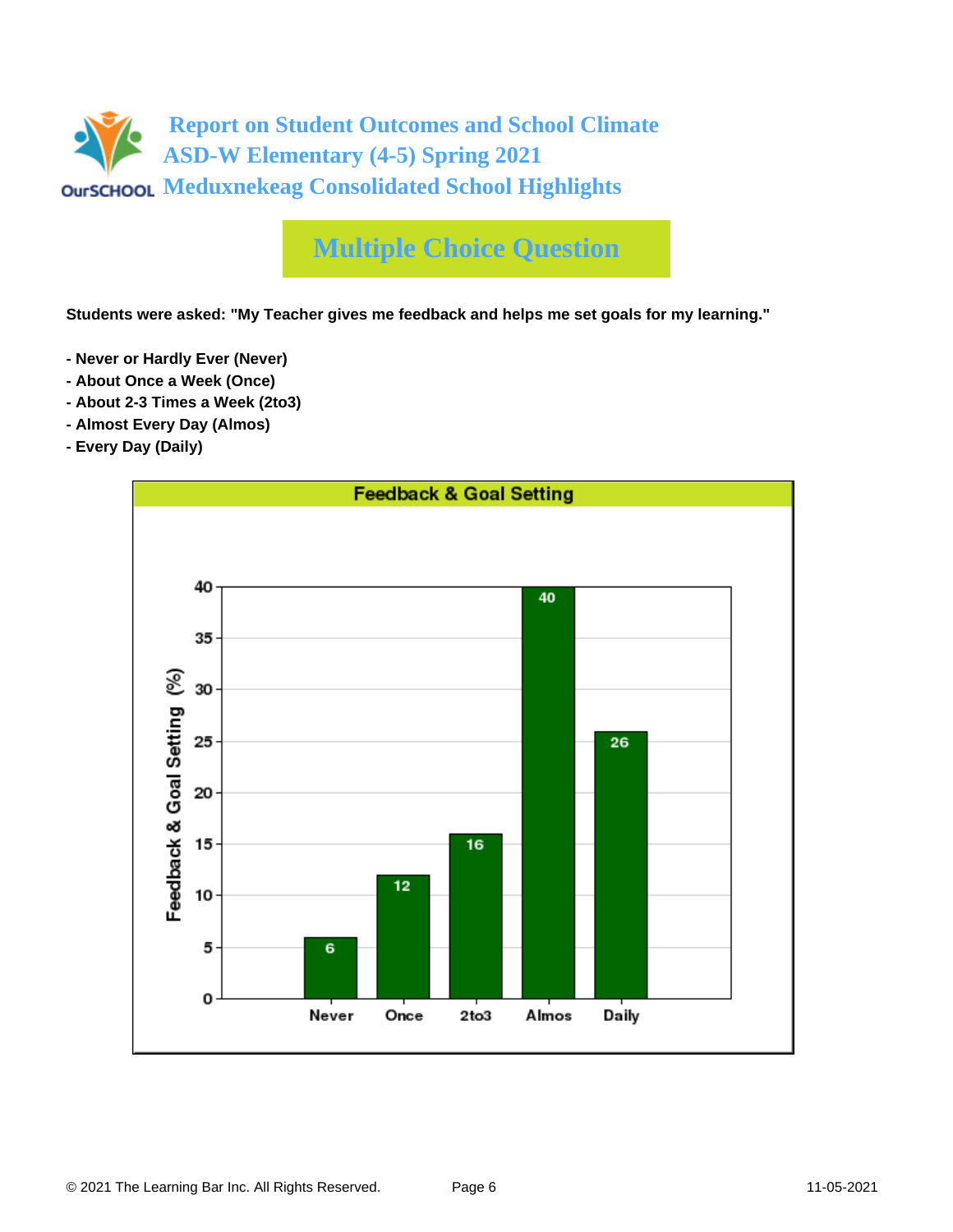

# **Multiple Choice Question**

**Students were asked: "My Teacher gives me feedback and helps me set goals for my learning."**

- **Never or Hardly Ever (Never)**
- **About Once a Week (Once)**
- **About 2-3 Times a Week (2to3)**
- **Almost Every Day (Almos)**
- **Every Day (Daily)**